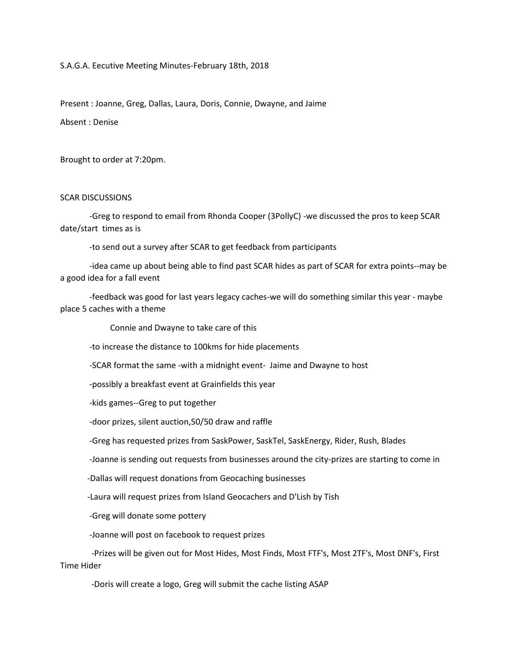#### S.A.G.A. Eecutive Meeting Minutes-February 18th, 2018

Present : Joanne, Greg, Dallas, Laura, Doris, Connie, Dwayne, and Jaime

Absent : Denise

Brought to order at 7:20pm.

### SCAR DISCUSSIONS

 -Greg to respond to email from Rhonda Cooper (3PollyC) -we discussed the pros to keep SCAR date/start times as is

-to send out a survey after SCAR to get feedback from participants

 -idea came up about being able to find past SCAR hides as part of SCAR for extra points--may be a good idea for a fall event

 -feedback was good for last years legacy caches-we will do something similar this year - maybe place 5 caches with a theme

Connie and Dwayne to take care of this

-to increase the distance to 100kms for hide placements

-SCAR format the same -with a midnight event- Jaime and Dwayne to host

-possibly a breakfast event at Grainfields this year

-kids games--Greg to put together

-door prizes, silent auction,50/50 draw and raffle

-Greg has requested prizes from SaskPower, SaskTel, SaskEnergy, Rider, Rush, Blades

-Joanne is sending out requests from businesses around the city-prizes are starting to come in

-Dallas will request donations from Geocaching businesses

-Laura will request prizes from Island Geocachers and D'Lish by Tish

-Greg will donate some pottery

-Joanne will post on facebook to request prizes

 -Prizes will be given out for Most Hides, Most Finds, Most FTF's, Most 2TF's, Most DNF's, First Time Hider

-Doris will create a logo, Greg will submit the cache listing ASAP